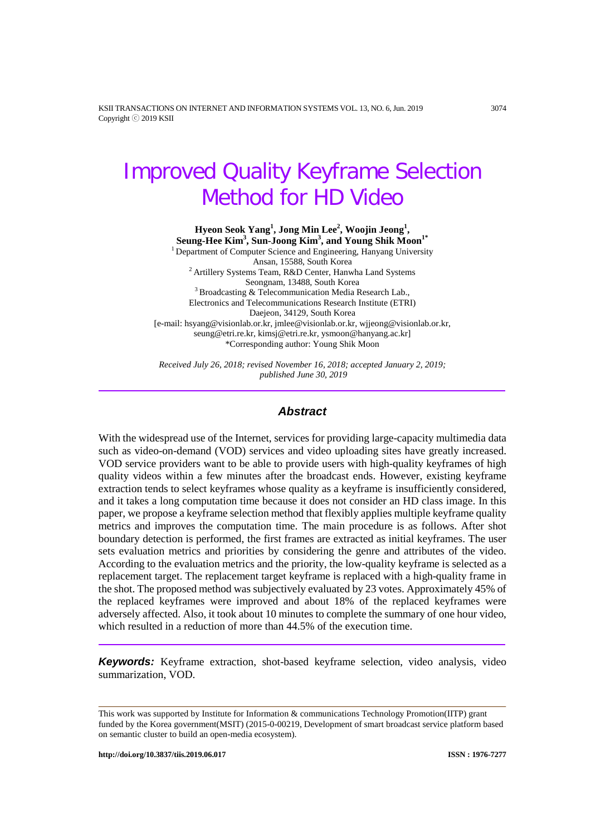KSII TRANSACTIONS ON INTERNET AND INFORMATION SYSTEMS VOL. 13, NO. 6, Jun. 2019 3074 Copyright ⓒ 2019 KSII

# Improved Quality Keyframe Selection Method for HD Video

**Hyeon Seok Yang<sup>1</sup> , Jong Min Lee<sup>2</sup> , Woojin Jeong<sup>1</sup> ,**  $\mathbf{Seung\text{-}Hee\text{ Kim}^3, \text{Sun-Joong Kim}^3, \text{and Young Shik Moon}^{1*}$ <sup>1</sup> Department of Computer Science and Engineering, Hanyang University Ansan, 15588, South Korea  $2$  Artillery Systems Team, R&D Center, Hanwha Land Systems Seongnam, 13488, South Korea<br> $3$  Broadcasting & Telecommunication Media Research Lab., Electronics and Telecommunications Research Institute (ETRI) Daejeon, 34129, South Korea [e-mail: hsyang@visionlab.or.kr, jmlee@visionlab.or.kr, wjjeong@visionlab.or.kr, seung@etri.re.kr, kimsj@etri.re.kr, ysmoon@hanyang.ac.kr] \*Corresponding author: Young Shik Moon

*Received July 26, 2018; revised November 16, 2018; accepted January 2, 2019; published June 30, 2019*

#### *Abstract*

With the widespread use of the Internet, services for providing large-capacity multimedia data such as video-on-demand (VOD) services and video uploading sites have greatly increased. VOD service providers want to be able to provide users with high-quality keyframes of high quality videos within a few minutes after the broadcast ends. However, existing keyframe extraction tends to select keyframes whose quality as a keyframe is insufficiently considered, and it takes a long computation time because it does not consider an HD class image. In this paper, we propose a keyframe selection method that flexibly applies multiple keyframe quality metrics and improves the computation time. The main procedure is as follows. After shot boundary detection is performed, the first frames are extracted as initial keyframes. The user sets evaluation metrics and priorities by considering the genre and attributes of the video. According to the evaluation metrics and the priority, the low-quality keyframe is selected as a replacement target. The replacement target keyframe is replaced with a high-quality frame in the shot. The proposed method was subjectively evaluated by 23 votes. Approximately 45% of the replaced keyframes were improved and about 18% of the replaced keyframes were adversely affected. Also, it took about 10 minutes to complete the summary of one hour video, which resulted in a reduction of more than 44.5% of the execution time.

*Keywords:* Keyframe extraction, shot-based keyframe selection, video analysis, video summarization, VOD.

This work was supported by Institute for Information & communications Technology Promotion(IITP) grant funded by the Korea government(MSIT) (2015-0-00219, Development of smart broadcast service platform based on semantic cluster to build an open-media ecosystem).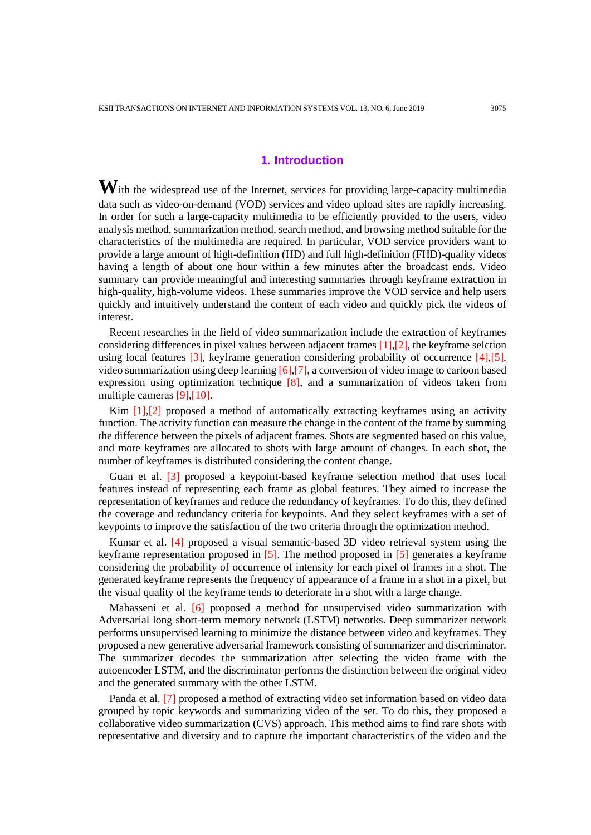# **1. Introduction**

With the widespread use of the Internet, services for providing large-capacity multimedia data such as video-on-demand (VOD) services and video upload sites are rapidly increasing. In order for such a large-capacity multimedia to be efficiently provided to the users, video analysis method, summarization method, search method, and browsing method suitable for the characteristics of the multimedia are required. In particular, VOD service providers want to provide a large amount of high-definition (HD) and full high-definition (FHD)-quality videos having a length of about one hour within a few minutes after the broadcast ends. Video summary can provide meaningful and interesting summaries through keyframe extraction in high-quality, high-volume videos. These summaries improve the VOD service and help users quickly and intuitively understand the content of each video and quickly pick the videos of interest.

Recent researches in the field of video summarization include the extraction of keyframes considering differences in pixel values between adjacent frames [1],[2], the keyframe selction using local features  $\lceil 3 \rceil$ , keyframe generation considering probability of occurrence  $\lceil 4 \rceil$ ,  $\lceil 5 \rceil$ , video summarization using deep learning [6],[7], a conversion of video image to cartoon based expression using optimization technique  $[8]$ , and a summarization of videos taken from multiple cameras [9],[10].

Kim  $[1]$ , $[2]$  proposed a method of automatically extracting keyframes using an activity function. The activity function can measure the change in the content of the frame by summing the difference between the pixels of adjacent frames. Shots are segmented based on this value, and more keyframes are allocated to shots with large amount of changes. In each shot, the number of keyframes is distributed considering the content change.

Guan et al. [3] proposed a keypoint-based keyframe selection method that uses local features instead of representing each frame as global features. They aimed to increase the representation of keyframes and reduce the redundancy of keyframes. To do this, they defined the coverage and redundancy criteria for keypoints. And they select keyframes with a set of keypoints to improve the satisfaction of the two criteria through the optimization method.

Kumar et al. [4] proposed a visual semantic-based 3D video retrieval system using the keyframe representation proposed in  $[5]$ . The method proposed in  $[5]$  generates a keyframe considering the probability of occurrence of intensity for each pixel of frames in a shot. The generated keyframe represents the frequency of appearance of a frame in a shot in a pixel, but the visual quality of the keyframe tends to deteriorate in a shot with a large change.

Mahasseni et al. [6] proposed a method for unsupervised video summarization with Adversarial long short-term memory network (LSTM) networks. Deep summarizer network performs unsupervised learning to minimize the distance between video and keyframes. They proposed a new generative adversarial framework consisting of summarizer and discriminator. The summarizer decodes the summarization after selecting the video frame with the autoencoder LSTM, and the discriminator performs the distinction between the original video and the generated summary with the other LSTM.

Panda et al. [7] proposed a method of extracting video set information based on video data grouped by topic keywords and summarizing video of the set. To do this, they proposed a collaborative video summarization (CVS) approach. This method aims to find rare shots with representative and diversity and to capture the important characteristics of the video and the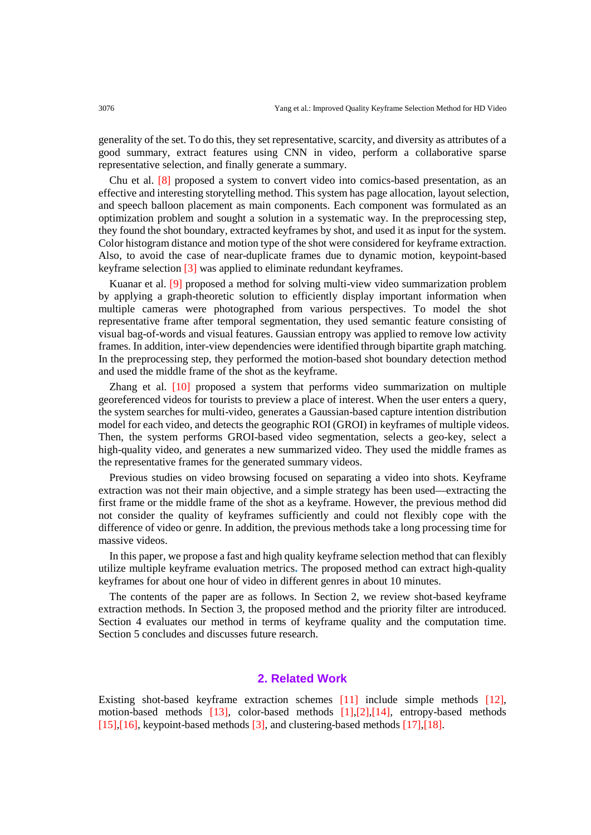generality of the set. To do this, they set representative, scarcity, and diversity as attributes of a good summary, extract features using CNN in video, perform a collaborative sparse representative selection, and finally generate a summary.

Chu et al. [8] proposed a system to convert video into comics-based presentation, as an effective and interesting storytelling method. This system has page allocation, layout selection, and speech balloon placement as main components. Each component was formulated as an optimization problem and sought a solution in a systematic way. In the preprocessing step, they found the shot boundary, extracted keyframes by shot, and used it as input for the system. Color histogram distance and motion type of the shot were considered for keyframe extraction. Also, to avoid the case of near-duplicate frames due to dynamic motion, keypoint-based keyframe selection [3] was applied to eliminate redundant keyframes.

Kuanar et al. [9] proposed a method for solving multi-view video summarization problem by applying a graph-theoretic solution to efficiently display important information when multiple cameras were photographed from various perspectives. To model the shot representative frame after temporal segmentation, they used semantic feature consisting of visual bag-of-words and visual features. Gaussian entropy was applied to remove low activity frames. In addition, inter-view dependencies were identified through bipartite graph matching. In the preprocessing step, they performed the motion-based shot boundary detection method and used the middle frame of the shot as the keyframe.

Zhang et al. [10] proposed a system that performs video summarization on multiple georeferenced videos for tourists to preview a place of interest. When the user enters a query, the system searches for multi-video, generates a Gaussian-based capture intention distribution model for each video, and detects the geographic ROI (GROI) in keyframes of multiple videos. Then, the system performs GROI-based video segmentation, selects a geo-key, select a high-quality video, and generates a new summarized video. They used the middle frames as the representative frames for the generated summary videos.

Previous studies on video browsing focused on separating a video into shots. Keyframe extraction was not their main objective, and a simple strategy has been used—extracting the first frame or the middle frame of the shot as a keyframe. However, the previous method did not consider the quality of keyframes sufficiently and could not flexibly cope with the difference of video or genre. In addition, the previous methods take a long processing time for massive videos.

In this paper, we propose a fast and high quality keyframe selection method that can flexibly utilize multiple keyframe evaluation metrics**.** The proposed method can extract high-quality keyframes for about one hour of video in different genres in about 10 minutes.

The contents of the paper are as follows. In Section 2, we review shot-based keyframe extraction methods. In Section 3, the proposed method and the priority filter are introduced. Section 4 evaluates our method in terms of keyframe quality and the computation time. Section 5 concludes and discusses future research.

# **2. Related Work**

Existing shot-based keyframe extraction schemes [11] include simple methods [12], motion-based methods [13], color-based methods [1],[2],[14], entropy-based methods [15],[16], keypoint-based methods [3], and clustering-based methods [17],[18].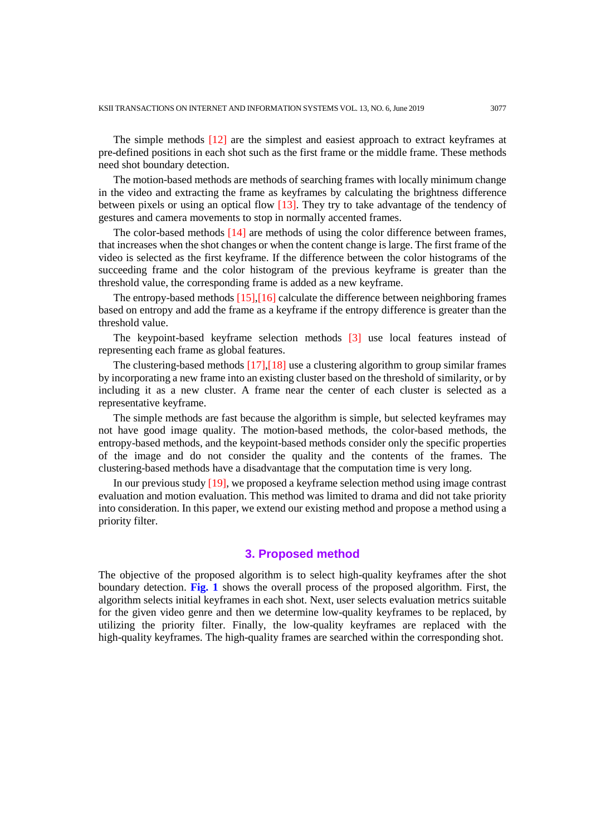The simple methods [12] are the simplest and easiest approach to extract keyframes at pre-defined positions in each shot such as the first frame or the middle frame. These methods need shot boundary detection.

The motion-based methods are methods of searching frames with locally minimum change in the video and extracting the frame as keyframes by calculating the brightness difference between pixels or using an optical flow [13]. They try to take advantage of the tendency of gestures and camera movements to stop in normally accented frames.

The color-based methods  $[14]$  are methods of using the color difference between frames, that increases when the shot changes or when the content change is large. The first frame of the video is selected as the first keyframe. If the difference between the color histograms of the succeeding frame and the color histogram of the previous keyframe is greater than the threshold value, the corresponding frame is added as a new keyframe.

The entropy-based methods [15],[16] calculate the difference between neighboring frames based on entropy and add the frame as a keyframe if the entropy difference is greater than the threshold value.

The keypoint-based keyframe selection methods [3] use local features instead of representing each frame as global features.

The clustering-based methods [17],[18] use a clustering algorithm to group similar frames by incorporating a new frame into an existing cluster based on the threshold of similarity, or by including it as a new cluster. A frame near the center of each cluster is selected as a representative keyframe.

The simple methods are fast because the algorithm is simple, but selected keyframes may not have good image quality. The motion-based methods, the color-based methods, the entropy-based methods, and the keypoint-based methods consider only the specific properties of the image and do not consider the quality and the contents of the frames. The clustering-based methods have a disadvantage that the computation time is very long.

In our previous study [19], we proposed a keyframe selection method using image contrast evaluation and motion evaluation. This method was limited to drama and did not take priority into consideration. In this paper, we extend our existing method and propose a method using a priority filter.

#### **3. Proposed method**

The objective of the proposed algorithm is to select high-quality keyframes after the shot boundary detection. **Fig. 1** shows the overall process of the proposed algorithm. First, the algorithm selects initial keyframes in each shot. Next, user selects evaluation metrics suitable for the given video genre and then we determine low-quality keyframes to be replaced, by utilizing the priority filter. Finally, the low-quality keyframes are replaced with the high-quality keyframes. The high-quality frames are searched within the corresponding shot.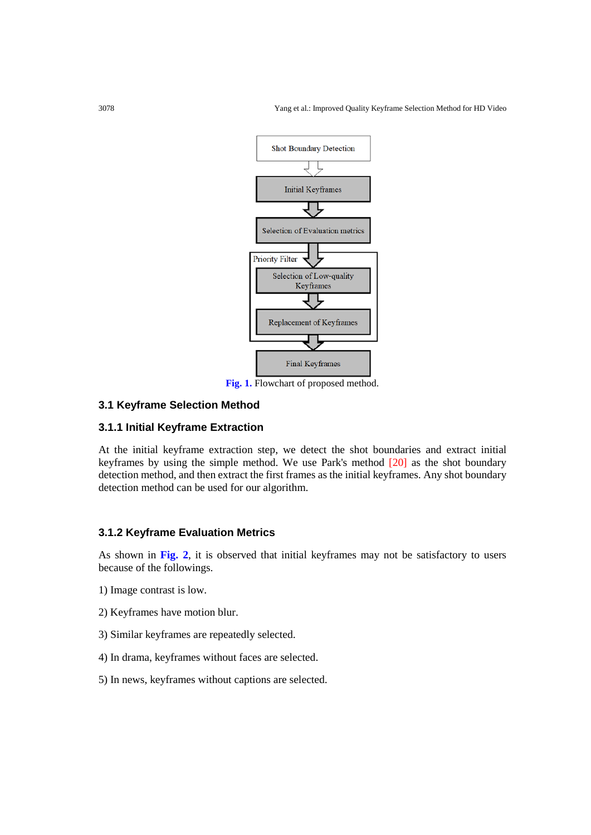

**Fig. 1.** Flowchart of proposed method.

# **3.1 Keyframe Selection Method**

# **3.1.1 Initial Keyframe Extraction**

At the initial keyframe extraction step, we detect the shot boundaries and extract initial keyframes by using the simple method. We use Park's method [20] as the shot boundary detection method, and then extract the first frames as the initial keyframes. Any shot boundary detection method can be used for our algorithm.

# **3.1.2 Keyframe Evaluation Metrics**

As shown in **Fig. 2**, it is observed that initial keyframes may not be satisfactory to users because of the followings.

- 1) Image contrast is low.
- 2) Keyframes have motion blur.
- 3) Similar keyframes are repeatedly selected.
- 4) In drama, keyframes without faces are selected.
- 5) In news, keyframes without captions are selected.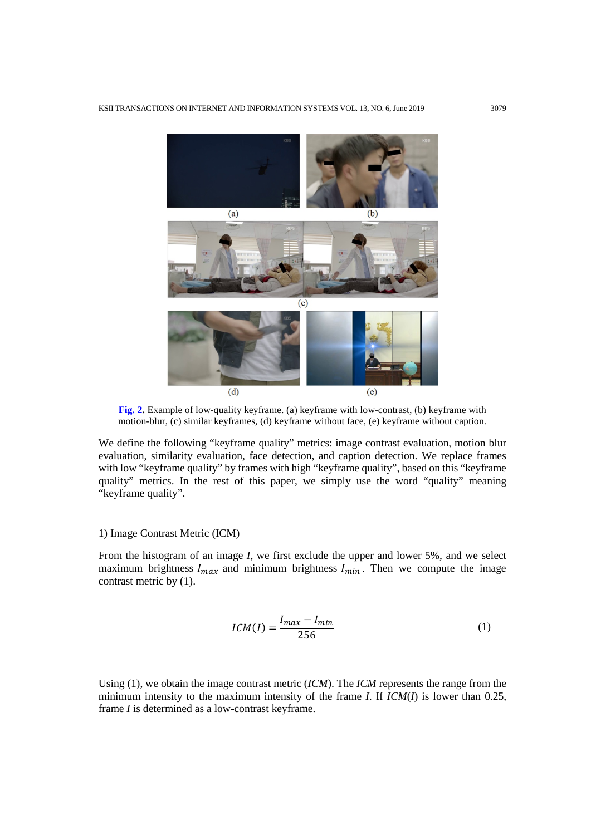

**Fig. 2.** Example of low-quality keyframe. (a) keyframe with low-contrast, (b) keyframe with motion-blur, (c) similar keyframes, (d) keyframe without face, (e) keyframe without caption.

We define the following "keyframe quality" metrics: image contrast evaluation, motion blur evaluation, similarity evaluation, face detection, and caption detection. We replace frames with low "keyframe quality" by frames with high "keyframe quality", based on this "keyframe quality" metrics. In the rest of this paper, we simply use the word "quality" meaning "keyframe quality".

#### 1) Image Contrast Metric (ICM)

From the histogram of an image *I*, we first exclude the upper and lower 5%, and we select maximum brightness  $I_{max}$  and minimum brightness  $I_{min}$ . Then we compute the image contrast metric by (1).

$$
ICM(I) = \frac{I_{max} - I_{min}}{256}
$$
 (1)

Using (1), we obtain the image contrast metric (*ICM*). The *ICM* represents the range from the minimum intensity to the maximum intensity of the frame *I*. If *ICM*(*I*) is lower than 0.25, frame *I* is determined as a low-contrast keyframe.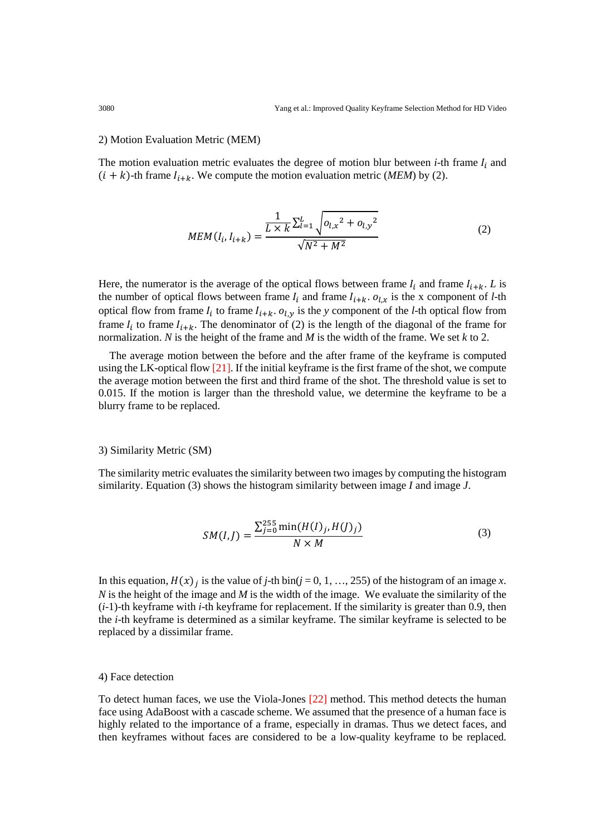#### 2) Motion Evaluation Metric (MEM)

The motion evaluation metric evaluates the degree of motion blur between  $i$ -th frame  $I_i$  and  $(i + k)$ -th frame  $I_{i+k}$ . We compute the motion evaluation metric (*MEM*) by (2).

$$
MEM(I_i, I_{i+k}) = \frac{\frac{1}{L \times k} \sum_{l=1}^{L} \sqrt{o_{l,x}^2 + o_{l,y}^2}}{\sqrt{N^2 + M^2}}
$$
(2)

Here, the numerator is the average of the optical flows between frame  $I_i$  and frame  $I_{i+k}$ . *L* is the number of optical flows between frame  $I_i$  and frame  $I_{i+k}$ .  $o_{l,x}$  is the x component of *l*-th optical flow from frame  $I_i$  to frame  $I_{i+k}$ .  $o_{l,y}$  is the *y* component of the *l*-th optical flow from frame  $I_i$  to frame  $I_{i+k}$ . The denominator of (2) is the length of the diagonal of the frame for normalization. *N* is the height of the frame and *M* is the width of the frame. We set *k* to 2.

The average motion between the before and the after frame of the keyframe is computed using the LK-optical flow [21]. If the initial keyframe is the first frame of the shot, we compute the average motion between the first and third frame of the shot. The threshold value is set to 0.015. If the motion is larger than the threshold value, we determine the keyframe to be a blurry frame to be replaced.

#### 3) Similarity Metric (SM)

The similarity metric evaluates the similarity between two images by computing the histogram similarity. Equation (3) shows the histogram similarity between image *I* and image *J*.

$$
SM(I,J) = \frac{\sum_{j=0}^{255} \min(H(I)_j, H(J)_j)}{N \times M}
$$
 (3)

In this equation,  $H(x)$  is the value of *j*-th bin(*j* = 0, 1, …, 255) of the histogram of an image *x*. *N* is the height of the image and *M* is the width of the image. We evaluate the similarity of the (*i*-1)-th keyframe with *i*-th keyframe for replacement. If the similarity is greater than 0.9, then the *i*-th keyframe is determined as a similar keyframe. The similar keyframe is selected to be replaced by a dissimilar frame.

#### 4) Face detection

To detect human faces, we use the Viola-Jones [22] method. This method detects the human face using AdaBoost with a cascade scheme. We assumed that the presence of a human face is highly related to the importance of a frame, especially in dramas. Thus we detect faces, and then keyframes without faces are considered to be a low-quality keyframe to be replaced.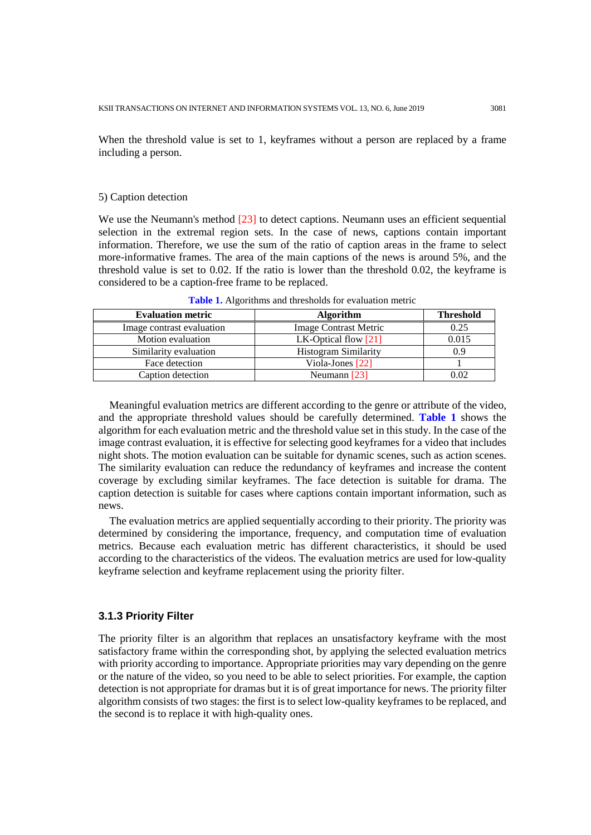When the threshold value is set to 1, keyframes without a person are replaced by a frame including a person.

#### 5) Caption detection

We use the Neumann's method [23] to detect captions. Neumann uses an efficient sequential selection in the extremal region sets. In the case of news, captions contain important information. Therefore, we use the sum of the ratio of caption areas in the frame to select more-informative frames. The area of the main captions of the news is around 5%, and the threshold value is set to 0.02. If the ratio is lower than the threshold 0.02, the keyframe is considered to be a caption-free frame to be replaced.

| <b>Evaluation metric</b>  | <b>Algorithm</b>             | <b>Threshold</b> |
|---------------------------|------------------------------|------------------|
| Image contrast evaluation | <b>Image Contrast Metric</b> | 0.25             |
| Motion evaluation         | LK-Optical flow $[21]$       | 0.015            |
| Similarity evaluation     | <b>Histogram Similarity</b>  | 0.9              |
| Face detection            | Viola-Jones $[22]$           |                  |
| Caption detection         | Neumann $[23]$               | 0.02             |

**Table 1.** Algorithms and thresholds for evaluation metric

Meaningful evaluation metrics are different according to the genre or attribute of the video, and the appropriate threshold values should be carefully determined. **Table 1** shows the algorithm for each evaluation metric and the threshold value set in this study. In the case of the image contrast evaluation, it is effective for selecting good keyframes for a video that includes night shots. The motion evaluation can be suitable for dynamic scenes, such as action scenes. The similarity evaluation can reduce the redundancy of keyframes and increase the content coverage by excluding similar keyframes. The face detection is suitable for drama. The caption detection is suitable for cases where captions contain important information, such as news.

The evaluation metrics are applied sequentially according to their priority. The priority was determined by considering the importance, frequency, and computation time of evaluation metrics. Because each evaluation metric has different characteristics, it should be used according to the characteristics of the videos. The evaluation metrics are used for low-quality keyframe selection and keyframe replacement using the priority filter.

# **3.1.3 Priority Filter**

The priority filter is an algorithm that replaces an unsatisfactory keyframe with the most satisfactory frame within the corresponding shot, by applying the selected evaluation metrics with priority according to importance. Appropriate priorities may vary depending on the genre or the nature of the video, so you need to be able to select priorities. For example, the caption detection is not appropriate for dramas but it is of great importance for news. The priority filter algorithm consists of two stages: the first is to select low-quality keyframes to be replaced, and the second is to replace it with high-quality ones.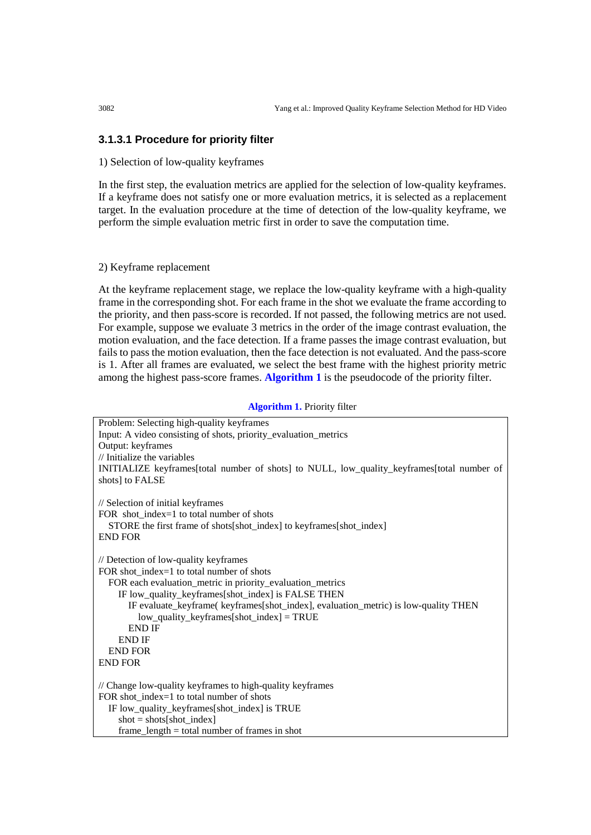# **3.1.3.1 Procedure for priority filter**

#### 1) Selection of low-quality keyframes

In the first step, the evaluation metrics are applied for the selection of low-quality keyframes. If a keyframe does not satisfy one or more evaluation metrics, it is selected as a replacement target. In the evaluation procedure at the time of detection of the low-quality keyframe, we perform the simple evaluation metric first in order to save the computation time.

# 2) Keyframe replacement

At the keyframe replacement stage, we replace the low-quality keyframe with a high-quality frame in the corresponding shot. For each frame in the shot we evaluate the frame according to the priority, and then pass-score is recorded. If not passed, the following metrics are not used. For example, suppose we evaluate 3 metrics in the order of the image contrast evaluation, the motion evaluation, and the face detection. If a frame passes the image contrast evaluation, but fails to pass the motion evaluation, then the face detection is not evaluated. And the pass-score is 1. After all frames are evaluated, we select the best frame with the highest priority metric among the highest pass-score frames. **Algorithm 1** is the pseudocode of the priority filter.

#### **Algorithm 1.** Priority filter

| Problem: Selecting high-quality keyframes                                                  |
|--------------------------------------------------------------------------------------------|
| Input: A video consisting of shots, priority_evaluation_metrics                            |
| Output: keyframes                                                                          |
| $//$ Initialize the variables                                                              |
| INITIALIZE keyframes[total number of shots] to NULL, low_quality_keyframes[total number of |
| shots] to FALSE                                                                            |
|                                                                                            |
| // Selection of initial keyframes                                                          |
| FOR shot_index=1 to total number of shots                                                  |
| STORE the first frame of shots[shot_index] to keyframes[shot_index]                        |
| <b>END FOR</b>                                                                             |
| // Detection of low-quality keyframes                                                      |
| FOR shot index=1 to total number of shots                                                  |
| FOR each evaluation_metric in priority_evaluation_metrics                                  |
| IF low_quality_keyframes[shot_index] is FALSE THEN                                         |
| IF evaluate_keyframe(keyframes[shot_index], evaluation_metric) is low-quality THEN         |
| $low$ <sub>quality_keyframes</sub> [shot_index] = TRUE                                     |
| <b>END IF</b>                                                                              |
| <b>END IF</b>                                                                              |
| <b>END FOR</b>                                                                             |
| <b>END FOR</b>                                                                             |
|                                                                                            |
| // Change low-quality keyframes to high-quality keyframes                                  |
| FOR shot_index=1 to total number of shots                                                  |
| IF low_quality_keyframes[shot_index] is TRUE                                               |
| $shot = shots[shot_index]$                                                                 |
| $frame_length = total number of frames in shot$                                            |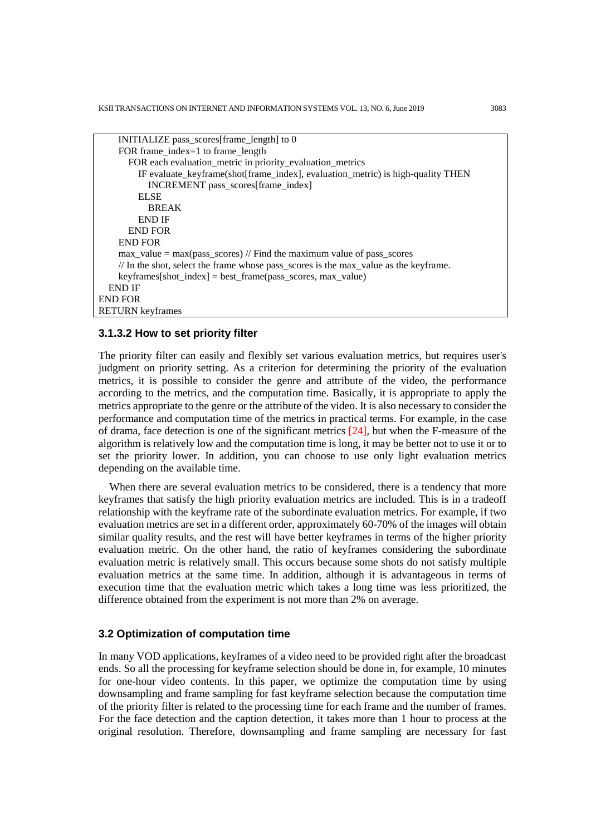```
 INITIALIZE pass_scores[frame_length] to 0
     FOR frame_index=1 to frame_length
        FOR each evaluation_metric in priority_evaluation_metrics
          IF evaluate_keyframe(shot[frame_index], evaluation_metric) is high-quality THEN
            INCREMENT pass_scores[frame_index]
          ELSE
            BREAK
          END IF
       END FOR
     END FOR
     max_value = max(pass_scores) // Find the maximum value of pass_scores
     // In the shot, select the frame whose pass_scores is the max_value as the keyframe.
     keyframes[shot_index] = best_frame(pass_scores, max_value) 
   END IF
END FOR
RETURN keyframes
```
#### **3.1.3.2 How to set priority filter**

The priority filter can easily and flexibly set various evaluation metrics, but requires user's judgment on priority setting. As a criterion for determining the priority of the evaluation metrics, it is possible to consider the genre and attribute of the video, the performance according to the metrics, and the computation time. Basically, it is appropriate to apply the metrics appropriate to the genre or the attribute of the video. It is also necessary to consider the performance and computation time of the metrics in practical terms. For example, in the case of drama, face detection is one of the significant metrics [24], but when the F-measure of the algorithm is relatively low and the computation time is long, it may be better not to use it or to set the priority lower. In addition, you can choose to use only light evaluation metrics depending on the available time.

When there are several evaluation metrics to be considered, there is a tendency that more keyframes that satisfy the high priority evaluation metrics are included. This is in a tradeoff relationship with the keyframe rate of the subordinate evaluation metrics. For example, if two evaluation metrics are set in a different order, approximately 60-70% of the images will obtain similar quality results, and the rest will have better keyframes in terms of the higher priority evaluation metric. On the other hand, the ratio of keyframes considering the subordinate evaluation metric is relatively small. This occurs because some shots do not satisfy multiple evaluation metrics at the same time. In addition, although it is advantageous in terms of execution time that the evaluation metric which takes a long time was less prioritized, the difference obtained from the experiment is not more than 2% on average.

# **3.2 Optimization of computation time**

In many VOD applications, keyframes of a video need to be provided right after the broadcast ends. So all the processing for keyframe selection should be done in, for example, 10 minutes for one-hour video contents. In this paper, we optimize the computation time by using downsampling and frame sampling for fast keyframe selection because the computation time of the priority filter is related to the processing time for each frame and the number of frames. For the face detection and the caption detection, it takes more than 1 hour to process at the original resolution. Therefore, downsampling and frame sampling are necessary for fast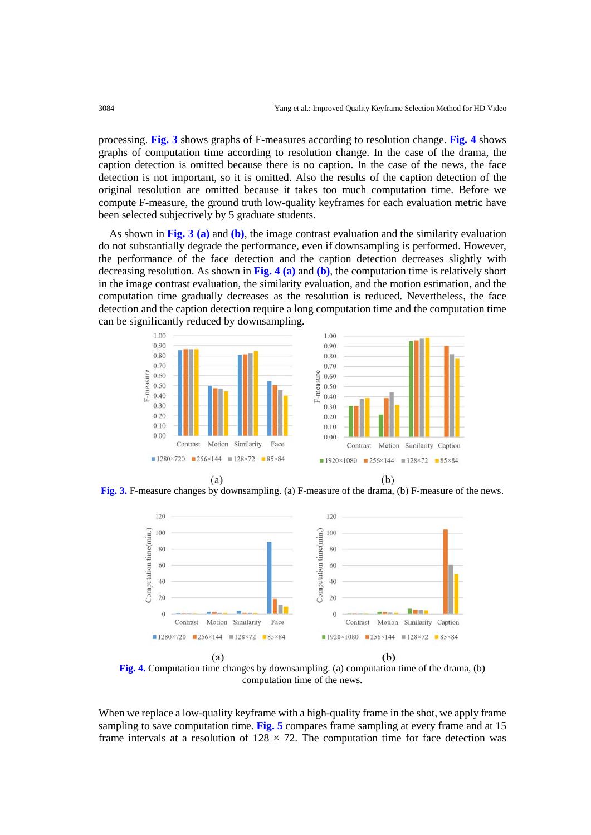processing. **Fig. 3** shows graphs of F-measures according to resolution change. **Fig. 4** shows graphs of computation time according to resolution change. In the case of the drama, the caption detection is omitted because there is no caption. In the case of the news, the face detection is not important, so it is omitted. Also the results of the caption detection of the original resolution are omitted because it takes too much computation time. Before we compute F-measure, the ground truth low-quality keyframes for each evaluation metric have been selected subjectively by 5 graduate students.

As shown in **Fig. 3 (a)** and **(b)**, the image contrast evaluation and the similarity evaluation do not substantially degrade the performance, even if downsampling is performed. However, the performance of the face detection and the caption detection decreases slightly with decreasing resolution. As shown in **Fig. 4 (a)** and **(b)**, the computation time is relatively short in the image contrast evaluation, the similarity evaluation, and the motion estimation, and the computation time gradually decreases as the resolution is reduced. Nevertheless, the face detection and the caption detection require a long computation time and the computation time can be significantly reduced by downsampling.



**Fig. 3.** F-measure changes by downsampling. (a) F-measure of the drama, (b) F-measure of the news.



**Fig. 4.** Computation time changes by downsampling. (a) computation time of the drama, (b) computation time of the news.

When we replace a low-quality keyframe with a high-quality frame in the shot, we apply frame sampling to save computation time. **Fig. 5** compares frame sampling at every frame and at 15 frame intervals at a resolution of  $128 \times 72$ . The computation time for face detection was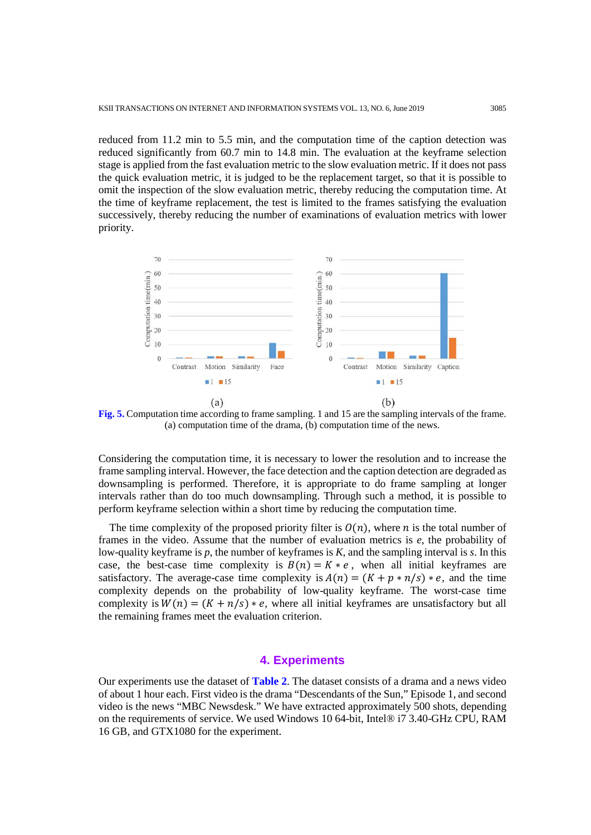reduced from 11.2 min to 5.5 min, and the computation time of the caption detection was reduced significantly from 60.7 min to 14.8 min. The evaluation at the keyframe selection stage is applied from the fast evaluation metric to the slow evaluation metric. If it does not pass the quick evaluation metric, it is judged to be the replacement target, so that it is possible to omit the inspection of the slow evaluation metric, thereby reducing the computation time. At the time of keyframe replacement, the test is limited to the frames satisfying the evaluation successively, thereby reducing the number of examinations of evaluation metrics with lower priority.



**Fig. 5.** Computation time according to frame sampling. 1 and 15 are the sampling intervals of the frame. (a) computation time of the drama, (b) computation time of the news.

Considering the computation time, it is necessary to lower the resolution and to increase the frame sampling interval. However, the face detection and the caption detection are degraded as downsampling is performed. Therefore, it is appropriate to do frame sampling at longer intervals rather than do too much downsampling. Through such a method, it is possible to perform keyframe selection within a short time by reducing the computation time.

The time complexity of the proposed priority filter is  $O(n)$ , where *n* is the total number of frames in the video. Assume that the number of evaluation metrics is *e*, the probability of low-quality keyframe is *p*, the number of keyframes is *K*, and the sampling interval is *s*. In this case, the best-case time complexity is  $B(n) = K * e$ , when all initial keyframes are satisfactory. The average-case time complexity is  $A(n) = (K + p * n/s) * e$ , and the time complexity depends on the probability of low-quality keyframe. The worst-case time complexity is  $W(n) = (K + n/s) * e$ , where all initial keyframes are unsatisfactory but all the remaining frames meet the evaluation criterion.

# **4. Experiments**

Our experiments use the dataset of **Table 2**. The dataset consists of a drama and a news video of about 1 hour each. First video is the drama "Descendants of the Sun," Episode 1, and second video is the news "MBC Newsdesk." We have extracted approximately 500 shots, depending on the requirements of service. We used Windows 10 64-bit, Intel® i7 3.40-GHz CPU, RAM 16 GB, and GTX1080 for the experiment.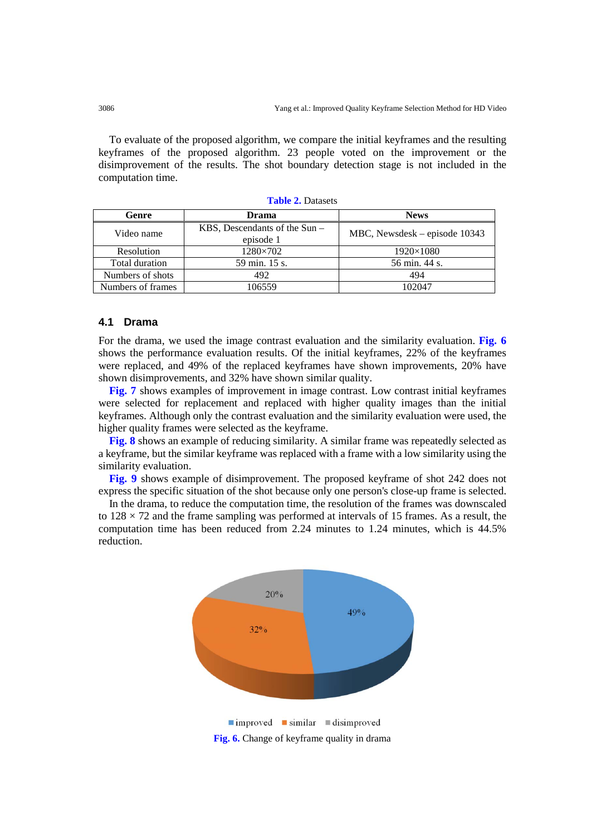To evaluate of the proposed algorithm, we compare the initial keyframes and the resulting keyframes of the proposed algorithm. 23 people voted on the improvement or the disimprovement of the results. The shot boundary detection stage is not included in the computation time.

| Genre             | <b>Drama</b>                                 | <b>News</b>                   |
|-------------------|----------------------------------------------|-------------------------------|
| Video name        | KBS, Descendants of the $Sun -$<br>episode 1 | MBC, Newsdesk – episode 10343 |
| Resolution        | 1280×702                                     | $1920\times1080$              |
| Total duration    | 59 min. 15 s.                                | 56 min. 44 s.                 |
| Numbers of shots  | 492                                          | 494                           |
| Numbers of frames | 106559                                       | 102047                        |

**Table 2.** Datasets

# **4.1 Drama**

For the drama, we used the image contrast evaluation and the similarity evaluation. **Fig. 6** shows the performance evaluation results. Of the initial keyframes, 22% of the keyframes were replaced, and 49% of the replaced keyframes have shown improvements, 20% have shown disimprovements, and 32% have shown similar quality.

**Fig. 7** shows examples of improvement in image contrast. Low contrast initial keyframes were selected for replacement and replaced with higher quality images than the initial keyframes. Although only the contrast evaluation and the similarity evaluation were used, the higher quality frames were selected as the keyframe.

**Fig. 8** shows an example of reducing similarity. A similar frame was repeatedly selected as a keyframe, but the similar keyframe was replaced with a frame with a low similarity using the similarity evaluation.

**Fig. 9** shows example of disimprovement. The proposed keyframe of shot 242 does not express the specific situation of the shot because only one person's close-up frame is selected.

In the drama, to reduce the computation time, the resolution of the frames was downscaled to  $128 \times 72$  and the frame sampling was performed at intervals of 15 frames. As a result, the computation time has been reduced from 2.24 minutes to 1.24 minutes, which is 44.5% reduction.



**Fig. 6.** Change of keyframe quality in drama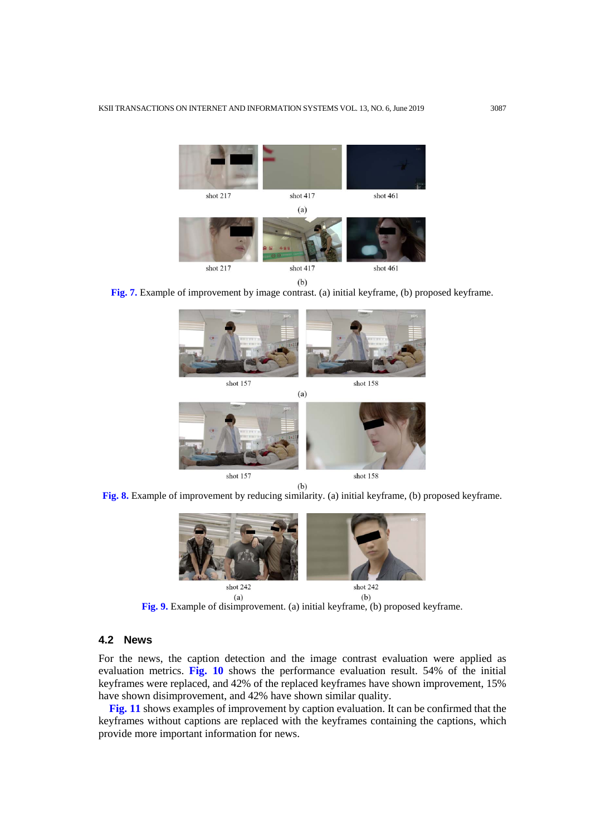

**Fig. 7.** Example of improvement by image contrast. (a) initial keyframe, (b) proposed keyframe.



**Fig. 8.** Example of improvement by reducing similarity. (a) initial keyframe, (b) proposed keyframe.



**Fig. 9.** Example of disimprovement. (a) initial keyframe, (b) proposed keyframe.

#### **4.2 News**

For the news, the caption detection and the image contrast evaluation were applied as evaluation metrics. **Fig. 10** shows the performance evaluation result. 54% of the initial keyframes were replaced, and 42% of the replaced keyframes have shown improvement, 15% have shown disimprovement, and 42% have shown similar quality.

**Fig. 11** shows examples of improvement by caption evaluation. It can be confirmed that the keyframes without captions are replaced with the keyframes containing the captions, which provide more important information for news.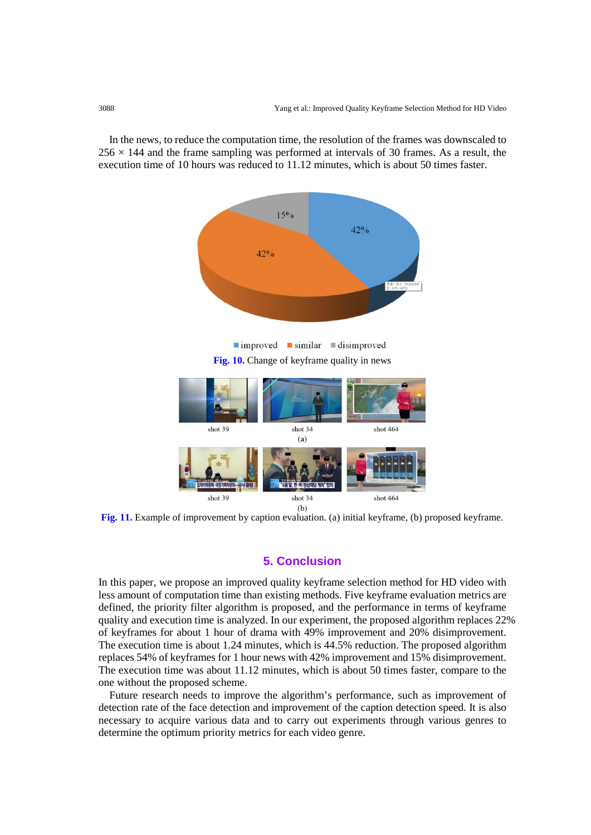In the news, to reduce the computation time, the resolution of the frames was downscaled to  $256 \times 144$  and the frame sampling was performed at intervals of 30 frames. As a result, the execution time of 10 hours was reduced to 11.12 minutes, which is about 50 times faster.





**Fig. 11.** Example of improvement by caption evaluation. (a) initial keyframe, (b) proposed keyframe.

# **5. Conclusion**

In this paper, we propose an improved quality keyframe selection method for HD video with less amount of computation time than existing methods. Five keyframe evaluation metrics are defined, the priority filter algorithm is proposed, and the performance in terms of keyframe quality and execution time is analyzed. In our experiment, the proposed algorithm replaces 22% of keyframes for about 1 hour of drama with 49% improvement and 20% disimprovement. The execution time is about 1.24 minutes, which is 44.5% reduction. The proposed algorithm replaces 54% of keyframes for 1 hour news with 42% improvement and 15% disimprovement. The execution time was about 11.12 minutes, which is about 50 times faster, compare to the one without the proposed scheme.

Future research needs to improve the algorithm's performance, such as improvement of detection rate of the face detection and improvement of the caption detection speed. It is also necessary to acquire various data and to carry out experiments through various genres to determine the optimum priority metrics for each video genre.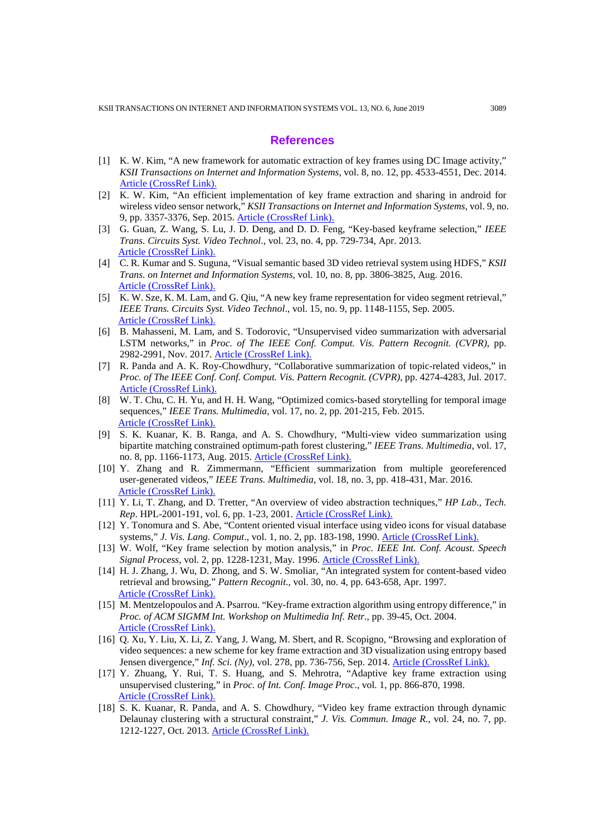# **References**

- [1] K. W. Kim, "A new framework for automatic extraction of key frames using DC Image activity," *KSII Transactions on Internet and Information Systems*, vol. 8, no. 12, pp. 4533-4551, Dec. 2014. [Article \(CrossRef Link\).](http://dx.doi.org/doi:10.3837/tiis.2014.12.017)
- [2] K. W. Kim, "An efficient implementation of key frame extraction and sharing in android for wireless video sensor network," *KSII Transactions on Internet and Information Systems*, vol. 9, no. 9, pp. 3357-3376, Sep. 2015. [Article \(CrossRef Link\).](http://www.itiis.org/digital-library/manuscript/1109)
- [3] G. Guan, Z. Wang, S. Lu, J. D. Deng, and D. D. Feng, "Key-based keyframe selection," *IEEE Trans. Circuits Syst. Video Technol*., vol. 23, no. 4, pp. 729-734, Apr. 2013. [Article \(CrossRef Link\).](https://doi.org/10.1109/TCSVT.2012.2214871)
- [4] C. R. Kumar and S. Suguna, "Visual semantic based 3D video retrieval system using HDFS," *KSII Trans. on Internet and Information Systems*, vol. 10, no. 8, pp. 3806-3825, Aug. 2016. [Article \(CrossRef Link\).](http://dx.doi.org/doi:10.3837/tiis.2016.08.021)
- [5] K. W. Sze, K. M. Lam, and G. Qiu, "A new key frame representation for video segment retrieval," *IEEE Trans. Circuits Syst. Video Technol*., vol. 15, no. 9, pp. 1148-1155, Sep. 2005. [Article \(CrossRef Link\).](https://doi.org/10.1109/TCSVT.2005.852623)
- [6] B. Mahasseni, M. Lam, and S. Todorovic, "Unsupervised video summarization with adversarial LSTM networks," in *Proc. of The IEEE Conf. Comput. Vis. Pattern Recognit. (CVPR)*, pp. 2982-2991, Nov. 2017. [Article \(CrossRef Link\).](https://doi.org/10.1109/CVPR.2017.318)
- [7] R. Panda and A. K. Roy-Chowdhury, "Collaborative summarization of topic-related videos," in *Proc. of The IEEE Conf. Conf. Comput. Vis. Pattern Recognit. (CVPR)*, pp. 4274-4283, Jul. 2017. [Article \(CrossRef Link\).](https://doi.org/10.1109/CVPR.2017.455)
- [8] W. T. Chu, C. H. Yu, and H. H. Wang, "Optimized comics-based storytelling for temporal image sequences," *IEEE Trans. Multimedia*, vol. 17, no. 2, pp. 201-215, Feb. 2015. [Article \(CrossRef Link\).](https://doi.org/10.1109/TMM.2014.2383616)
- [9] S. K. Kuanar, K. B. Ranga, and A. S. Chowdhury, "Multi-view video summarization using bipartite matching constrained optimum-path forest clustering," *IEEE Trans. Multimedia*, vol. 17, no. 8, pp. 1166-1173, Aug. 2015. [Article \(CrossRef Link\).](https://doi.org/10.1109/TMM.2015.2443558)
- [10] Y. Zhang and R. Zimmermann, "Efficient summarization from multiple georeferenced user-generated videos," *IEEE Trans. Multimedia*, vol. 18, no. 3, pp. 418-431, Mar. 2016. [Article \(CrossRef Link\).](https://doi.org/10.1109/TMM.2016.2520827)
- [11] Y. Li, T. Zhang, and D. Tretter, "An overview of video abstraction techniques," *HP Lab., Tech. Rep*. HPL-2001-191, vol. 6, pp. 1-23, 2001. [Article \(CrossRef Link\).](http://www.hpl.hp.com/techreports/2001/HPL-2001-191.html)
- [12] Y. Tonomura and S. Abe, "Content oriented visual interface using video icons for visual database systems," *J. Vis. Lang. Comput*., vol. 1, no. 2, pp. 183-198, 1990. [Article \(CrossRef Link\).](https://doi.org/10.1016/S1045-926X(05)80015-1)
- [13] W. Wolf, "Key frame selection by motion analysis," in *Proc. IEEE Int. Conf. Acoust. Speech Signal Process*, vol. 2, pp. 1228-1231, May. 1996. [Article \(CrossRef Link\).](https://doi.org/10.1109/ICASSP.1996.543588)
- [14] H. J. Zhang, J. Wu, D. Zhong, and S. W. Smoliar, "An integrated system for content-based video retrieval and browsing," *Pattern Recognit*., vol. 30, no. 4, pp. 643-658, Apr. 1997. [Article \(CrossRef Link\).](https://doi.org/10.1016/S0031-3203(96)00109-4)
- [15] M. Mentzelopoulos and A. Psarrou. "Key-frame extraction algorithm using entropy difference," in *Proc. of ACM SIGMM Int. Workshop on Multimedia Inf. Retr*., pp. 39-45, Oct. 2004. [Article \(CrossRef Link\).](https://doi.org/10.1145/1026711.1026719)
- [16] Q. Xu, Y. Liu, X. Li, Z. Yang, J. Wang, M. Sbert, and R. Scopigno, "Browsing and exploration of video sequences: a new scheme for key frame extraction and 3D visualization using entropy based Jensen divergence," *Inf. Sci. (Ny)*, vol. 278, pp. 736-756, Sep. 2014. [Article \(CrossRef Link\).](https://doi.org/10.1016/j.ins.2014.03.088)
- [17] Y. Zhuang, Y. Rui, T. S. Huang, and S. Mehrotra, "Adaptive key frame extraction using unsupervised clustering," in *Proc. of Int. Conf. Image Proc*., vol. 1, pp. 866-870, 1998. [Article \(CrossRef Link\).](http://dx.doi.org/doi:10.1109/ICIP.1998.723655)
- [18] S. K. Kuanar, R. Panda, and A. S. Chowdhury, "Video key frame extraction through dynamic Delaunay clustering with a structural constraint," *J. Vis. Commun. Image R*., vol. 24, no. 7, pp. 1212-1227, Oct. 2013. [Article \(CrossRef Link\).](https://doi.org/10.1016/j.jvcir.2013.08.003)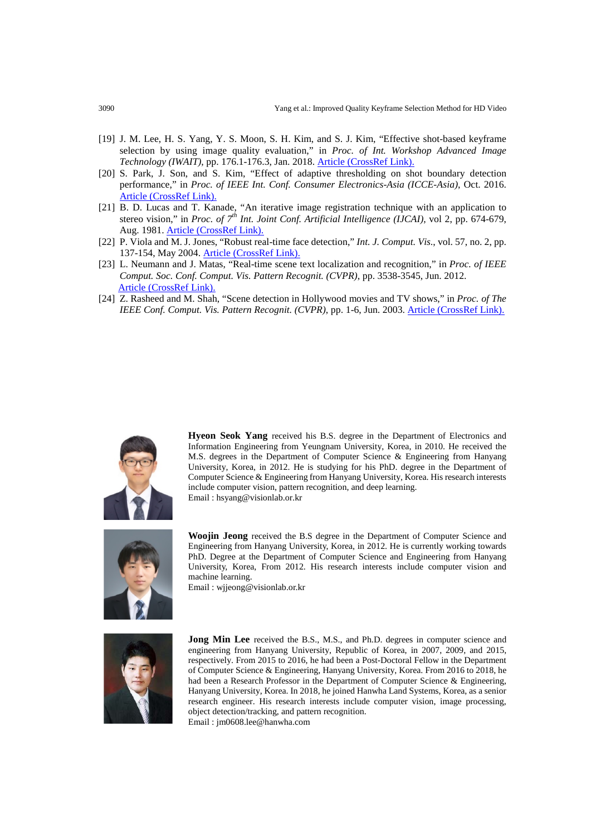- [19] J. M. Lee, H. S. Yang, Y. S. Moon, S. H. Kim, and S. J. Kim, "Effective shot-based keyframe selection by using image quality evaluation," in *Proc. of Int. Workshop Advanced Image Technology (IWAIT)*, pp. 176.1-176.3, Jan. 2018. [Article \(CrossRef Link\).](https://doi.org/10.1109/IWAIT.2018.8369777)
- [20] S. Park, J. Son, and S. Kim, "Effect of adaptive thresholding on shot boundary detection performance," in *Proc. of IEEE Int. Conf. Consumer Electronics-Asia (ICCE-Asia)*, Oct. 2016. [Article \(CrossRef Link\).](https://doi.org/10.1109/ICCE-Asia.2016.7804753)
- [21] B. D. Lucas and T. Kanade, "An iterative image registration technique with an application to stereo vision," in *Proc. of 7th Int. Joint Conf. Artificial Intelligence (IJCAI)*, vol 2, pp. 674-679, Aug. 1981. [Article \(CrossRef Link\).](https://dl.acm.org/citation.cfm?id=1623280)
- [22] P. Viola and M. J. Jones, "Robust real-time face detection," *Int. J. Comput. Vis*., vol. 57, no. 2, pp. 137-154, May 2004. [Article \(CrossRef Link\).](https://doi.org/10.1023/B:VISI.0000013087.49260.fb)
- [23] L. Neumann and J. Matas, "Real-time scene text localization and recognition," in *Proc. of IEEE Comput. Soc. Conf. Comput. Vis. Pattern Recognit. (CVPR)*, pp. 3538-3545, Jun. 2012. [Article \(CrossRef Link\).](https://doi.org/10.1109/CVPR.2012.6248097)
- [24] Z. Rasheed and M. Shah, "Scene detection in Hollywood movies and TV shows," in *Proc. of The IEEE Conf. Comput. Vis. Pattern Recognit. (CVPR)*, pp. 1-6, Jun. 2003. [Article \(CrossRef Link\).](https://doi.org/10.1109/CVPR.2003.1211489)



**Hyeon Seok Yang** received his B.S. degree in the Department of Electronics and Information Engineering from Yeungnam University, Korea, in 2010. He received the M.S. degrees in the Department of Computer Science & Engineering from Hanyang University, Korea, in 2012. He is studying for his PhD. degree in the Department of Computer Science & Engineering from Hanyang University, Korea. His research interests include computer vision, pattern recognition, and deep learning. Email : hsyang@visionlab.or.kr



**Woojin Jeong** received the B.S degree in the Department of Computer Science and Engineering from Hanyang University, Korea, in 2012. He is currently working towards PhD. Degree at the Department of Computer Science and Engineering from Hanyang University, Korea, From 2012. His research interests include computer vision and machine learning.

Email : wjjeong@visionlab.or.kr



**Jong Min Lee** received the B.S., M.S., and Ph.D. degrees in computer science and engineering from Hanyang University, Republic of Korea, in 2007, 2009, and 2015, respectively. From 2015 to 2016, he had been a Post-Doctoral Fellow in the Department of Computer Science & Engineering, Hanyang University, Korea. From 2016 to 2018, he had been a Research Professor in the Department of Computer Science & Engineering, Hanyang University, Korea. In 2018, he joined Hanwha Land Systems, Korea, as a senior research engineer. His research interests include computer vision, image processing, object detection/tracking, and pattern recognition. Email : jm0608.lee@hanwha.com